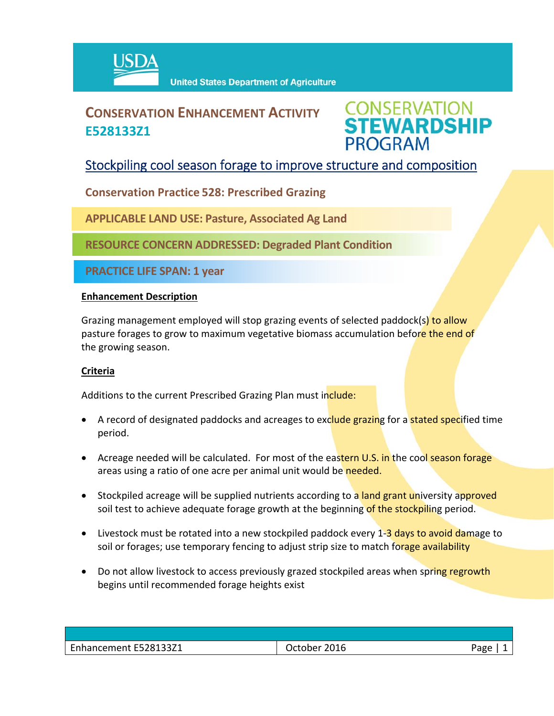

# **CONSERVATION ENHANCEMENT ACTIVITY E528133Z1**



## Stockpiling cool season forage to improve structure and composition

**Conservation Practice 528: Prescribed Grazing**

**APPLICABLE LAND USE: Pasture, Associated Ag Land**

**RESOURCE CONCERN ADDRESSED: Degraded Plant Condition**

**PRACTICE LIFE SPAN: 1 year**

#### **Enhancement Description**

Grazing management employed will stop grazing events of selected paddock(s) to allow pasture forages to grow to maximum vegetative biomass accumulation before the end of the growing season.

### **Criteria**

Additions to the current Prescribed Grazing Plan must include:

- A record of designated paddocks and acreages to exclude grazing for a **stated speci**fied time period.
- Acreage needed will be calculated. For most of the eastern U.S. in the cool season forage areas using a ratio of one acre per animal unit would be needed.
- Stockpiled acreage will be supplied nutrients according to a land grant university approved soil test to achieve adequate forage growth at the beginning of the stockpiling period.
- Livestock must be rotated into a new stockpiled paddock every 1-3 days to avoid damage to soil or forages; use temporary fencing to adjust strip size to match forage availability
- Do not allow livestock to access previously grazed stockpiled areas when spring regrowth begins until recommended forage heights exist

| Enhancement E528133Z1 | October 2016 | Page |
|-----------------------|--------------|------|